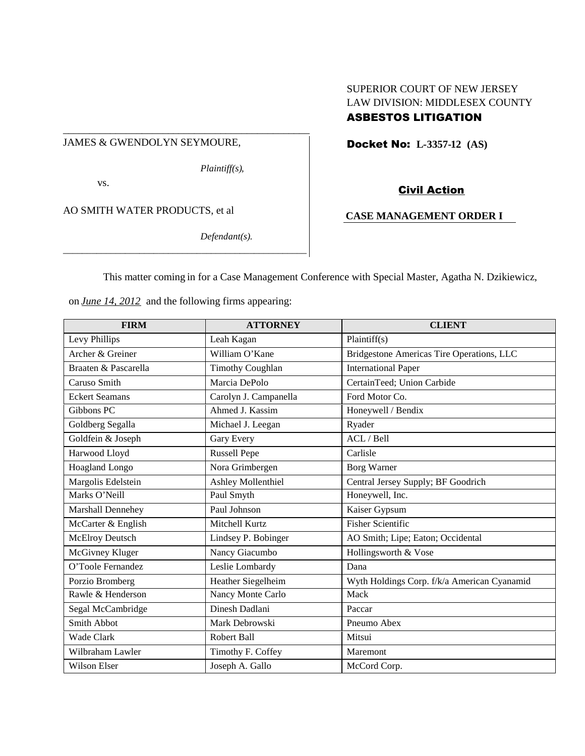### JAMES & GWENDOLYN SEYMOURE,

\_\_\_\_\_\_\_\_\_\_\_\_\_\_\_\_\_\_\_\_\_\_\_\_\_\_\_\_\_\_\_\_\_\_\_\_\_\_\_\_\_\_\_\_\_\_\_

*Plaintiff(s),*

vs.

AO SMITH WATER PRODUCTS, et al

*Defendant(s).*

# SUPERIOR COURT OF NEW JERSEY LAW DIVISION: MIDDLESEX COUNTY ASBESTOS LITIGATION

Docket No: **L-3357-12 (AS)**

# Civil Action

# **CASE MANAGEMENT ORDER I**

This matter coming in for a Case Management Conference with Special Master, Agatha N. Dzikiewicz,

on *June 14, 2012* and the following firms appearing:

*\_\_\_\_\_\_\_\_\_\_\_\_\_\_\_\_\_\_\_\_\_\_\_\_\_\_\_\_\_\_\_\_\_\_\_\_\_\_\_\_\_\_\_\_\_\_\_\_\_\_\_*

| <b>FIRM</b>           | <b>ATTORNEY</b>         | <b>CLIENT</b>                               |
|-----------------------|-------------------------|---------------------------------------------|
| Levy Phillips         | Leah Kagan              | Plaintiff(s)                                |
| Archer & Greiner      | William O'Kane          | Bridgestone Americas Tire Operations, LLC   |
| Braaten & Pascarella  | <b>Timothy Coughlan</b> | <b>International Paper</b>                  |
| Caruso Smith          | Marcia DePolo           | CertainTeed; Union Carbide                  |
| <b>Eckert Seamans</b> | Carolyn J. Campanella   | Ford Motor Co.                              |
| Gibbons PC            | Ahmed J. Kassim         | Honeywell / Bendix                          |
| Goldberg Segalla      | Michael J. Leegan       | Ryader                                      |
| Goldfein & Joseph     | Gary Every              | ACL / Bell                                  |
| Harwood Lloyd         | <b>Russell Pepe</b>     | Carlisle                                    |
| Hoagland Longo        | Nora Grimbergen         | <b>Borg Warner</b>                          |
| Margolis Edelstein    | Ashley Mollenthiel      | Central Jersey Supply; BF Goodrich          |
| Marks O'Neill         | Paul Smyth              | Honeywell, Inc.                             |
| Marshall Dennehey     | Paul Johnson            | Kaiser Gypsum                               |
| McCarter & English    | Mitchell Kurtz          | <b>Fisher Scientific</b>                    |
| McElroy Deutsch       | Lindsey P. Bobinger     | AO Smith; Lipe; Eaton; Occidental           |
| McGivney Kluger       | Nancy Giacumbo          | Hollingsworth & Vose                        |
| O'Toole Fernandez     | Leslie Lombardy         | Dana                                        |
| Porzio Bromberg       | Heather Siegelheim      | Wyth Holdings Corp. f/k/a American Cyanamid |
| Rawle & Henderson     | Nancy Monte Carlo       | Mack                                        |
| Segal McCambridge     | Dinesh Dadlani          | Paccar                                      |
| Smith Abbot           | Mark Debrowski          | Pneumo Abex                                 |
| Wade Clark            | Robert Ball             | Mitsui                                      |
| Wilbraham Lawler      | Timothy F. Coffey       | Maremont                                    |
| <b>Wilson Elser</b>   | Joseph A. Gallo         | McCord Corp.                                |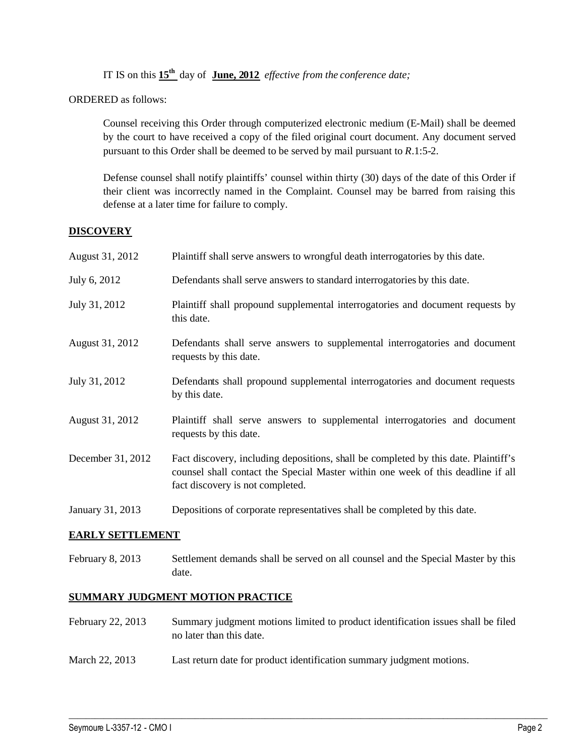IT IS on this **15th** day of **June, 2012** *effective from the conference date;*

ORDERED as follows:

Counsel receiving this Order through computerized electronic medium (E-Mail) shall be deemed by the court to have received a copy of the filed original court document. Any document served pursuant to this Order shall be deemed to be served by mail pursuant to *R*.1:5-2.

Defense counsel shall notify plaintiffs' counsel within thirty (30) days of the date of this Order if their client was incorrectly named in the Complaint. Counsel may be barred from raising this defense at a later time for failure to comply.

# **DISCOVERY**

| August 31, 2012   | Plaintiff shall serve answers to wrongful death interrogatories by this date.                                                                                                                               |
|-------------------|-------------------------------------------------------------------------------------------------------------------------------------------------------------------------------------------------------------|
| July 6, 2012      | Defendants shall serve answers to standard interrogatories by this date.                                                                                                                                    |
| July 31, 2012     | Plaintiff shall propound supplemental interrogatories and document requests by<br>this date.                                                                                                                |
| August 31, 2012   | Defendants shall serve answers to supplemental interrogatories and document<br>requests by this date.                                                                                                       |
| July 31, 2012     | Defendants shall propound supplemental interrogatories and document requests<br>by this date.                                                                                                               |
| August 31, 2012   | Plaintiff shall serve answers to supplemental interrogatories and document<br>requests by this date.                                                                                                        |
| December 31, 2012 | Fact discovery, including depositions, shall be completed by this date. Plaintiff's<br>counsel shall contact the Special Master within one week of this deadline if all<br>fact discovery is not completed. |
| January 31, 2013  | Depositions of corporate representatives shall be completed by this date.                                                                                                                                   |

### **EARLY SETTLEMENT**

February 8, 2013 Settlement demands shall be served on all counsel and the Special Master by this date.

### **SUMMARY JUDGMENT MOTION PRACTICE**

February 22, 2013 Summary judgment motions limited to product identification issues shall be filed no later than this date.

 $\_$  ,  $\_$  ,  $\_$  ,  $\_$  ,  $\_$  ,  $\_$  ,  $\_$  ,  $\_$  ,  $\_$  ,  $\_$  ,  $\_$  ,  $\_$  ,  $\_$  ,  $\_$  ,  $\_$  ,  $\_$  ,  $\_$  ,  $\_$  ,  $\_$  ,  $\_$  ,  $\_$  ,  $\_$  ,  $\_$  ,  $\_$  ,  $\_$  ,  $\_$  ,  $\_$  ,  $\_$  ,  $\_$  ,  $\_$  ,  $\_$  ,  $\_$  ,  $\_$  ,  $\_$  ,  $\_$  ,  $\_$  ,  $\_$  ,

March 22, 2013 Last return date for product identification summary judgment motions.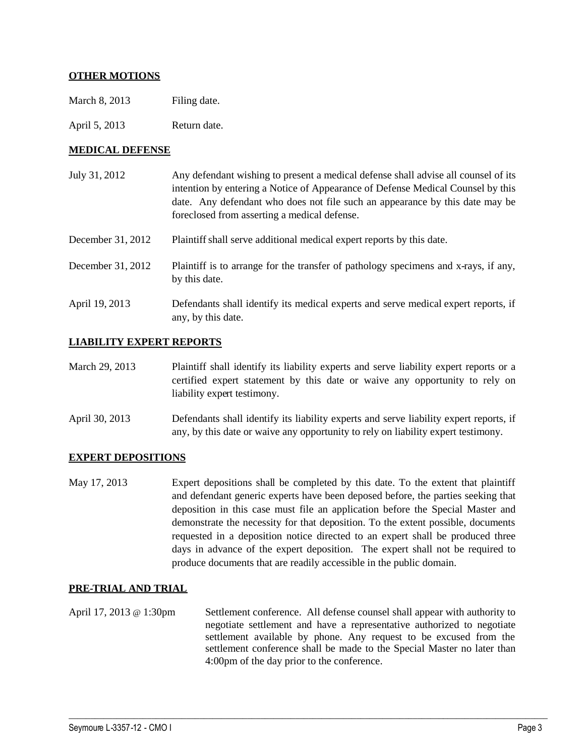# **OTHER MOTIONS**

March 8, 2013 Filing date.

April 5, 2013 Return date.

### **MEDICAL DEFENSE**

| July 31, 2012     | Any defendant wishing to present a medical defense shall advise all counsel of its<br>intention by entering a Notice of Appearance of Defense Medical Counsel by this<br>date. Any defendant who does not file such an appearance by this date may be<br>foreclosed from asserting a medical defense. |
|-------------------|-------------------------------------------------------------------------------------------------------------------------------------------------------------------------------------------------------------------------------------------------------------------------------------------------------|
| December 31, 2012 | Plaintiff shall serve additional medical expert reports by this date.                                                                                                                                                                                                                                 |
| December 31, 2012 | Plaintiff is to arrange for the transfer of pathology specimens and x-rays, if any,<br>by this date.                                                                                                                                                                                                  |
| April 19, 2013    | Defendants shall identify its medical experts and serve medical expert reports, if<br>any, by this date.                                                                                                                                                                                              |

### **LIABILITY EXPERT REPORTS**

- March 29, 2013 Plaintiff shall identify its liability experts and serve liability expert reports or a certified expert statement by this date or waive any opportunity to rely on liability expert testimony.
- April 30, 2013 Defendants shall identify its liability experts and serve liability expert reports, if any, by this date or waive any opportunity to rely on liability expert testimony.

### **EXPERT DEPOSITIONS**

May 17, 2013 Expert depositions shall be completed by this date. To the extent that plaintiff and defendant generic experts have been deposed before, the parties seeking that deposition in this case must file an application before the Special Master and demonstrate the necessity for that deposition. To the extent possible, documents requested in a deposition notice directed to an expert shall be produced three days in advance of the expert deposition. The expert shall not be required to produce documents that are readily accessible in the public domain.

### **PRE-TRIAL AND TRIAL**

April 17, 2013 @ 1:30pm Settlement conference. All defense counsel shall appear with authority to negotiate settlement and have a representative authorized to negotiate settlement available by phone. Any request to be excused from the settlement conference shall be made to the Special Master no later than 4:00pm of the day prior to the conference.

 $\_$  ,  $\_$  ,  $\_$  ,  $\_$  ,  $\_$  ,  $\_$  ,  $\_$  ,  $\_$  ,  $\_$  ,  $\_$  ,  $\_$  ,  $\_$  ,  $\_$  ,  $\_$  ,  $\_$  ,  $\_$  ,  $\_$  ,  $\_$  ,  $\_$  ,  $\_$  ,  $\_$  ,  $\_$  ,  $\_$  ,  $\_$  ,  $\_$  ,  $\_$  ,  $\_$  ,  $\_$  ,  $\_$  ,  $\_$  ,  $\_$  ,  $\_$  ,  $\_$  ,  $\_$  ,  $\_$  ,  $\_$  ,  $\_$  ,